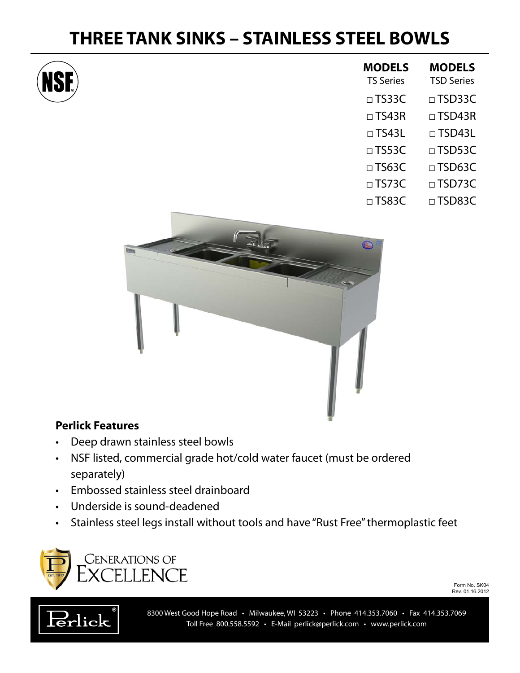## **THREE TANK SINKS – STAINLESS STEEL BOWLS**



| <b>MODELS</b><br><b>TS Series</b> | <b>MODELS</b><br><b>TSD Series</b> |
|-----------------------------------|------------------------------------|
| $\Box$ TS33C                      | $\square$ TSD33C                   |
| $\Box$ TS43R                      | $\square$ TSD43R                   |
| $\Box$ TS43L                      | $\Box$ TSD43L                      |
| $\square$ TS53C                   | $\Box$ TSD53C                      |
| $\Box$ TS63C                      | $\square$ TSD63C                   |
| $\Box$ TS73C                      | $\Box$ TSD73C                      |
| $\Box$ TS83C                      | $\Box$ TSD83C                      |



## **Perlick Features**

- • Deep drawn stainless steel bowls
- • NSF listed, commercial grade hot/cold water faucet (must be ordered separately)
- • Embossed stainless steel drainboard
- • Underside is sound-deadened
- Stainless steel legs install without tools and have "Rust Free" thermoplastic feet



Form No. SK04 Rev. 01.16.2012